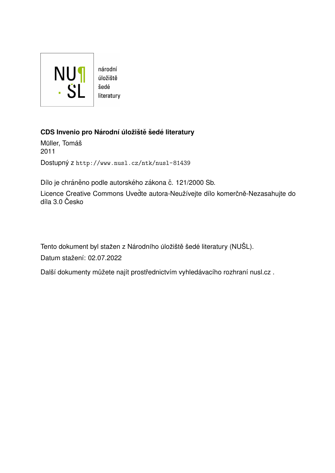

úložiště literatury

# **CDS Invenio pro Narodn´ı ´uloˇzi ´ stˇ eˇ sed ˇ e literatury ´**

Müller, Tomáš 2011 Dostupný z <http://www.nusl.cz/ntk/nusl-81439>

Dílo je chráněno podle autorského zákona č. 121/2000 Sb.

Licence Creative Commons Uveďte autora-Neužívejte dílo komerčně-Nezasahujte do díla 3.0 Česko

Tento dokument byl stažen z Národního úložiště šedé literatury (NUŠL).

Datum stažení: 02.07.2022

Další dokumenty můžete najít prostřednictvím vyhledávacího rozhraní [nusl.cz](http://www.nusl.cz) .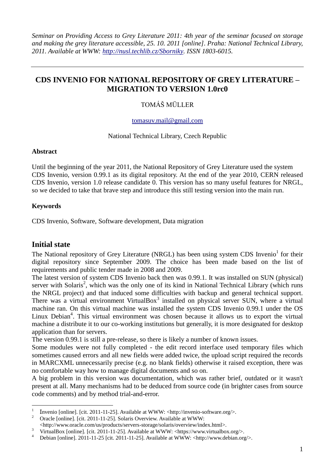# **CDS INVENIO FOR NATIONAL REPOSITORY OF GREY LITERATURE – MIGRATION TO VERSION 1.0rc0**

## TOMÁŠ MÜLLER

#### [tomasuv.mail@gmail.com](mailto:tomasuv.mail@gmail.com)

National Technical Library, Czech Republic

#### **Abstract**

Until the beginning of the year 2011, the National Repository of Grey Literature used the system CDS Invenio, version 0.99.1 as its digital repository. At the end of the year 2010, CERN released CDS Invenio, version 1.0 release candidate 0. This version has so many useful features for NRGL, so we decided to take that brave step and introduce this still testing version into the main run.

### **Keywords**

CDS Invenio, Software, Software development, Data migration

## **Initial state**

<u>.</u>

The National repository of Grey Literature (NRGL) has been using system CDS Invenio<sup>1</sup> for their digital repository since September 2009. The choice has been made based on the list of requirements and public tender made in 2008 and 2009.

The latest version of system CDS Invenio back then was 0.99.1. It was installed on SUN (physical) server with Solaris<sup>2</sup>, which was the only one of its kind in National Technical Library (which runs the NRGL project) and that induced some difficulties with backup and general technical support. There was a virtual environment VirtualBox $3$  installed on physical server SUN, where a virtual machine ran. On this virtual machine was installed the system CDS Invenio 0.99.1 under the OS Linux Debian<sup>4</sup>. This virtual environment was chosen because it allows us to export the virtual machine a distribute it to our co-working institutions but generally, it is more designated for desktop application than for servers.

The version 0.99.1 is still a pre-release, so there is likely a number of known issues.

Some modules were not fully completed - the edit record interface used temporary files which sometimes caused errors and all new fields were added twice, the upload script required the records in MARCXML unnecessarily precise (e.g. no blank fields) otherwise it raised exception, there was no comfortable way how to manage digital documents and so on.

A big problem in this version was documentation, which was rather brief, outdated or it wasn't present at all. Many mechanisms had to be deduced from source code (in brighter cases from source code comments) and by method trial-and-error.

<sup>1</sup> Invenio [online]. [cit. 2011-11-25]. Available at WWW: <http://invenio-software.org/>.

<sup>&</sup>lt;sup>2</sup> Oracle [online]. [cit. 2011-11-25]. Solaris Overview. Available at WWW:

<sup>&</sup>lt;http://www.oracle.com/us/products/servers-storage/solaris/overview/index.html>.

<sup>&</sup>lt;sup>3</sup> VirtualBox [online]. [cit. 2011-11-25]. Available at WWW: <https://www.virtualbox.org/>.<br><sup>4</sup> Debien [online]. 2011-11-25 [eit. 2011-11-25]. Available at WWW. chttp://www.debien.org/

Debian [online]. 2011-11-25 [cit. 2011-11-25]. Available at WWW:  $\langle$ http://www.debian.org/ $>$ .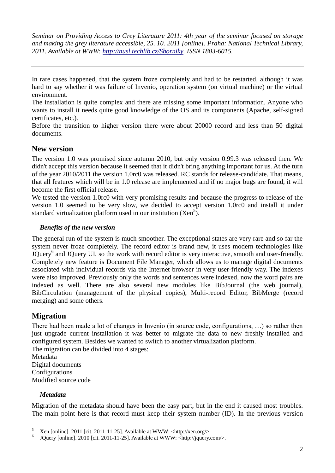The installation is quite complex and there are missing some important information. Anyone who wants to install it needs quite good knowledge of the OS and its components (Apache, self-signed certificates, etc.).

Before the transition to higher version there were about 20000 record and less than 50 digital documents.

## **New version**

The version 1.0 was promised since autumn 2010, but only version 0.99.3 was released then. We didn't accept this version because it seemed that it didn't bring anything important for us. At the turn of the year 2010/2011 the version 1.0rc0 was released. RC stands for release-candidate. That means, that all features which will be in 1.0 release are implemented and if no major bugs are found, it will become the first official release.

We tested the version 1.0rc0 with very promising results and because the progress to release of the version 1.0 seemed to be very slow, we decided to accept version 1.0rc0 and install it under standard virtualization platform used in our institution  $(Ken<sup>5</sup>)$ .

## *Benefits of the new version*

The general run of the system is much smoother. The exceptional states are very rare and so far the system never froze completely. The record editor is brand new, it uses modern technologies like JQuery<sup>6</sup> and JQuery UI, so the work with record editor is very interactive, smooth and user-friendly. Completely new feature is Document File Manager, which allows us to manage digital documents associated with individual records via the Internet browser in very user-friendly way. The indexes were also improved. Previously only the words and sentences were indexed, now the word pairs are indexed as well. There are also several new modules like BibJournal (the web journal), BibCirculation (management of the physical copies), Multi-record Editor, BibMerge (record merging) and some others.

# **Migration**

There had been made a lot of changes in Invenio (in source code, configurations, …) so rather then just upgrade current installation it was better to migrate the data to new freshly installed and configured system. Besides we wanted to switch to another virtualization platform.

The migration can be divided into 4 stages: Metadata Digital documents **Configurations** Modified source code

### *Metadata*

Migration of the metadata should have been the easy part, but in the end it caused most troubles. The main point here is that record must keep their system number (ID). In the previous version

In rare cases happened, that the system froze completely and had to be restarted, although it was hard to say whether it was failure of Invenio, operation system (on virtual machine) or the virtual environment.

 $\overline{\phantom{a}}$ <sup>5</sup> Xen [online]. 2011 [cit. 2011-11-25]. Available at WWW: <http://xen.org/>.

<sup>6</sup> JQuery [online]. 2010 [cit. 2011-11-25]. Available at WWW: <http://jquery.com/>.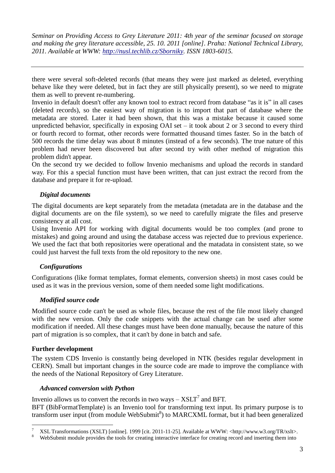there were several soft-deleted records (that means they were just marked as deleted, everything behave like they were deleted, but in fact they are still physically present), so we need to migrate them as well to prevent re-numbering.

Invenio in default doesn't offer any known tool to extract record from database "as it is" in all cases (deleted records), so the easiest way of migration is to import that part of database where the metadata are stored. Later it had been shown, that this was a mistake because it caused some unpredicted behavior, specifically in exposing OAI set – it took about 2 or 3 second to every third or fourth record to format, other records were formatted thousand times faster. So in the batch of 500 records the time delay was about 8 minutes (instead of a few seconds). The true nature of this problem had never been discovered but after second try with other method of migration this problem didn't appear.

On the second try we decided to follow Invenio mechanisms and upload the records in standard way. For this a special function must have been written, that can just extract the record from the database and prepare it for re-upload.

### *Digital documents*

The digital documents are kept separately from the metadata (metadata are in the database and the digital documents are on the file system), so we need to carefully migrate the files and preserve consistency at all cost.

Using Invenio API for working with digital documents would be too complex (and prone to mistakes) and going around and using the database access was rejected due to previous experience. We used the fact that both repositories were operational and the matadata in consistent state, so we could just harvest the full texts from the old repository to the new one.

### *Configurations*

Configurations (like format templates, format elements, conversion sheets) in most cases could be used as it was in the previous version, some of them needed some light modifications.

### *Modified source code*

Modified source code can't be used as whole files, because the rest of the file most likely changed with the new version. Only the code snippets with the actual change can be used after some modification if needed. All these changes must have been done manually, because the nature of this part of migration is so complex, that it can't by done in batch and safe.

#### **Further development**

<u>.</u>

The system CDS Invenio is constantly being developed in NTK (besides regular development in CERN). Small but important changes in the source code are made to improve the compliance with the needs of the National Repository of Grey Literature.

#### *Advanced conversion with Python*

Invenio allows us to convert the records in two ways  $-$  XSLT<sup>7</sup> and BFT.

BFT (BibFormatTemplate) is an Invenio tool for transforming text input. Its primary purpose is to transform user input (from module WebSubmit<sup>8</sup>) to MARCXML format, but it had been generalized

<sup>7</sup> XSL Transformations (XSLT) [online]. 1999 [cit. 2011-11-25]. Available at WWW: <http://www.w3.org/TR/xslt>.

WebSubmit module provides the tools for creating interactive interface for creating record and inserting them into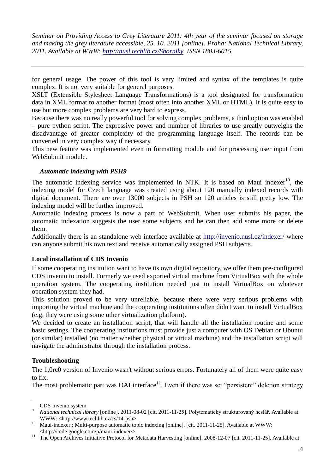for general usage. The power of this tool is very limited and syntax of the templates is quite complex. It is not very suitable for general purposes.

XSLT (Extensible Stylesheet Language Transformations) is a tool designated for transformation data in XML format to another format (most often into another XML or HTML). It is quite easy to use but more complex problems are very hard to express.

Because there was no really powerful tool for solving complex problems, a third option was enabled – pure python script. The expressive power and number of libraries to use greatly outweighs the disadvantage of greater complexity of the programming language itself. The records can be converted in very complex way if necessary.

This new feature was implemented even in formatting module and for processing user input from WebSubmit module.

### *Automatic indexing with PSH9*

The automatic indexing service was implemented in NTK. It is based on Maui indexer<sup>10</sup>, the indexing model for Czech language was created using about 120 manually indexed records with digital document. There are over 13000 subjects in PSH so 120 articles is still pretty low. The indexing model will be further improved.

Automatic indexing process is now a part of WebSubmit. When user submits his paper, the automatic indexation suggests the user some subjects and he can then add some more or delete them.

Additionally there is an standalone web interface available at<http://invenio.nusl.cz/indexer/> where can anyone submit his own text and receive automatically assigned PSH subjects.

### **Local installation of CDS Invenio**

If some cooperating institution want to have its own digital repository, we offer them pre-configured CDS Invenio to install. Formerly we used exported virtual machine from VirtualBox with the whole operation system. The cooperating institution needed just to install VirtualBox on whatever operation system they had.

This solution proved to be very unreliable, because there were very serious problems with importing the virtual machine and the cooperating institutions often didn't want to install VirtualBox (e.g. they were using some other virtualization platform).

We decided to create an installation script, that will handle all the installation routine and some basic settings. The cooperating institutions must provide just a computer with OS Debian or Ubuntu (or similar) installed (no matter whether physical or virtual machine) and the installation script will navigate the administrator through the installation process.

### **Troubleshooting**

The 1.0rc0 version of Invenio wasn't without serious errors. Fortunately all of them were quite easy to fix.

The most problematic part was OAI interface $11$ . Even if there was set "persistent" deletion strategy

CDS Invenio system

<u>.</u>

<sup>9</sup> *National technical library* [online]. 2011-08-02 [cit. 2011-11-25]. Polytematický strukturovaný heslář. Available at WWW: <http://www.techlib.cz/cs/14-psh>.

<sup>&</sup>lt;sup>10</sup> Maui-indexer : Multi-purpose automatic topic indexing [online]. [cit. 2011-11-25]. Available at WWW: <http://code.google.com/p/maui-indexer/>.

<sup>&</sup>lt;sup>11</sup> The Open Archives Initiative Protocol for Metadata Harvesting [online]. 2008-12-07 [cit. 2011-11-25]. Available at